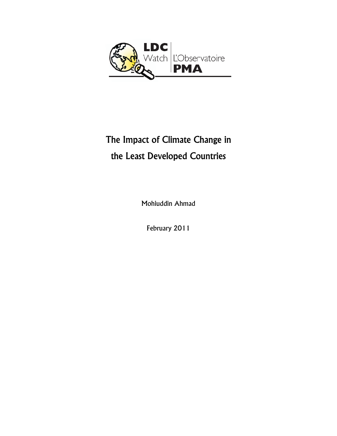

# The Impact of Climate Change in the Least Developed Countries

Mohiuddin Ahmad

February 2011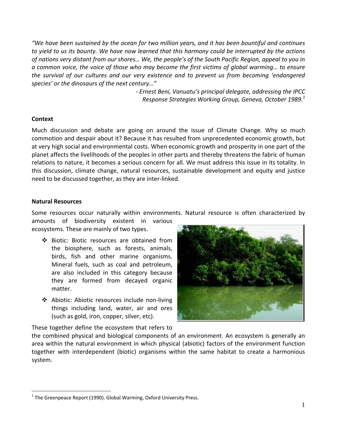"We have been sustained by the ocean for two million years, and it has been bountiful and continues to yield to us its bounty. We have now learned that this harmony could be interrupted by the actions of nations very distant from our shores... We, the people's of the South Pacific Region, appeal to you in *a common voice, the voice of those who may become the first victims of global warming… to ensure the survival of our cultures and our very existence and to prevent us from becoming 'endangered species' or the dinosaurs of the next century…"*

> *‐ Ernest Beni, Vanuatu's principal delegate, addressing the IPCC Response Strategies Working Group, Geneva, October 1989.<sup>1</sup>*

#### **Context**

Much discussion and debate are going on around the issue of Climate Change. Why so much commotion and despair about it? Because it has resulted from unprecedented economic growth, but at very high social and environmental costs. When economic growth and prosperity in one part of the planet affects the livelihoods of the peoples in other parts and thereby threatens the fabric of human relations to nature, it becomes a serious concern for all. We must address this issue in its totality. In this discussion, climate change, natural resources, sustainable development and equity and justice need to be discussed together, as they are inter‐linked.

#### **Natural Resources**

 $\overline{a}$ 

Some resources occur naturally within environments. Natural resource is often characterized by

amounts of biodiversity existent in various ecosystems. These are mainly of two types.

- Biotic: Biotic resources are obtained from the biosphere, such as forests, animals, birds, fish and other marine organisms. Mineral fuels, such as coal and petroleum, are also included in this category because they are formed from decayed organic matter.
- Abiotic: Abiotic resources include non‐living things including land, water, air and ores (such as gold, iron, copper, silver, etc).



These together define the ecosystem that refers to

the combined physical and biological components of an environment. An ecosystem is generally an area within the natural environment in which physical (abiotic) factors of the environment function together with interdependent (biotic) organisms within the same habitat to create a harmonious system.

 $1$  The Greenpeace Report (1990). Global Warming, Oxford University Press.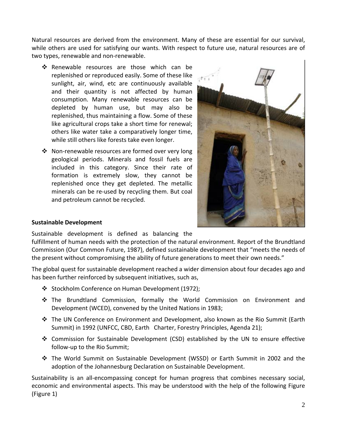Natural resources are derived from the environment. Many of these are essential for our survival, while others are used for satisfying our wants. With respect to future use, natural resources are of two types, renewable and non‐renewable.

- \* Renewable resources are those which can be replenished or reproduced easily. Some of these like sunlight, air, wind, etc are continuously available and their quantity is not affected by human consumption. Many renewable resources can be depleted by human use, but may also be replenished, thus maintaining a flow. Some of these like agricultural crops take a short time for renewal; others like water take a comparatively longer time, while still others like forests take even longer.
- Non‐renewable resources are formed over very long geological periods. Minerals and fossil fuels are included in this category. Since their rate of formation is extremely slow, they cannot be replenished once they get depleted. The metallic minerals can be re‐used by recycling them. But coal and petroleum cannot be recycled.



# **Sustainable Development**

Sustainable development is defined as balancing the

fulfillment of human needs with the protection of the natural environment. Report of the Brundtland Commission (Our Common Future, 1987), defined sustainable development that "meets the needs of the present without compromising the ability of future generations to meet their own needs."

The global quest for sustainable development reached a wider dimension about four decades ago and has been further reinforced by subsequent initiatives, such as,

- Stockholm Conference on Human Development (1972);
- The Brundtland Commission, formally the World Commission on Environment and Development (WCED), convened by the United Nations in 1983;
- The UN Conference on Environment and Development, also known as the Rio Summit (Earth Summit) in 1992 (UNFCC, CBD, Earth Charter, Forestry Principles, Agenda 21);
- Commission for Sustainable Development (CSD) established by the UN to ensure effective follow‐up to the Rio Summit;
- The World Summit on Sustainable Development (WSSD) or Earth Summit in 2002 and the adoption of the Johannesburg Declaration on Sustainable Development.

Sustainability is an all‐encompassing concept for human progress that combines necessary social, economic and environmental aspects. This may be understood with the help of the following Figure (Figure 1)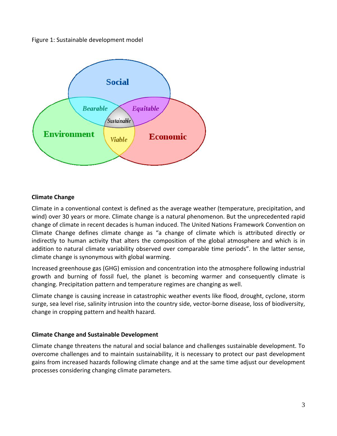



### **Climate Change**

Climate in a conventional context is defined as the average weather (temperature, precipitation, and wind) over 30 years or more. Climate change is a natural phenomenon. But the unprecedented rapid change of climate in recent decades is human induced. The United Nations Framework Convention on Climate Change defines climate change as "a change of climate which is attributed directly or indirectly to human activity that alters the composition of the global atmosphere and which is in addition to natural climate variability observed over comparable time periods". In the latter sense, climate change is synonymous with global warming.

Increased greenhouse gas (GHG) emission and concentration into the atmosphere following industrial growth and burning of fossil fuel, the planet is becoming warmer and consequently climate is changing. Precipitation pattern and temperature regimes are changing as well.

Climate change is causing increase in catastrophic weather events like flood, drought, cyclone, storm surge, sea level rise, salinity intrusion into the country side, vector‐borne disease, loss of biodiversity, change in cropping pattern and health hazard.

### **Climate Change and Sustainable Development**

Climate change threatens the natural and social balance and challenges sustainable development. To overcome challenges and to maintain sustainability, it is necessary to protect our past development gains from increased hazards following climate change and at the same time adjust our development processes considering changing climate parameters.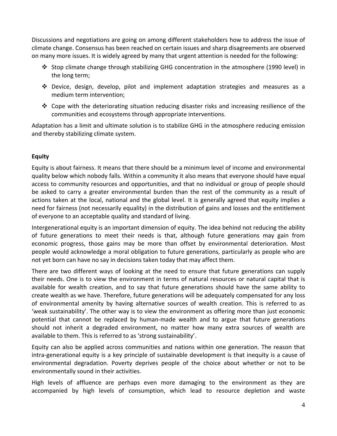Discussions and negotiations are going on among different stakeholders how to address the issue of climate change. Consensus has been reached on certain issues and sharp disagreements are observed on many more issues. It is widely agreed by many that urgent attention is needed for the following:

- Stop climate change through stabilizing GHG concentration in the atmosphere (1990 level) in the long term;
- $\clubsuit$  Device, design, develop, pilot and implement adaptation strategies and measures as a medium term intervention;
- $\cdot$  Cope with the deteriorating situation reducing disaster risks and increasing resilience of the communities and ecosystems through appropriate interventions.

Adaptation has a limit and ultimate solution is to stabilize GHG in the atmosphere reducing emission and thereby stabilizing climate system.

# **Equity**

Equity is about fairness. It means that there should be a minimum level of income and environmental quality below which nobody falls. Within a community it also means that everyone should have equal access to community resources and opportunities, and that no individual or group of people should be asked to carry a greater environmental burden than the rest of the community as a result of actions taken at the local, national and the global level. It is generally agreed that equity implies a need for fairness (not necessarily equality) in the distribution of gains and losses and the entitlement of everyone to an acceptable quality and standard of living.

Intergenerational equity is an important dimension of equity. The idea behind not reducing the ability of future generations to meet their needs is that, although future generations may gain from economic progress, those gains may be more than offset by environmental deterioration. Most people would acknowledge a moral obligation to future generations, particularly as people who are not yet born can have no say in decisions taken today that may affect them.

There are two different ways of looking at the need to ensure that future generations can supply their needs. One is to view the environment in terms of natural resources or natural capital that is available for wealth creation, and to say that future generations should have the same ability to create wealth as we have. Therefore, future generations will be adequately compensated for any loss of environmental amenity by having alternative sources of wealth creation. This is referred to as 'weak sustainability'. The other way is to view the environment as offering more than just economic potential that cannot be replaced by human‐made wealth and to argue that future generations should not inherit a degraded environment, no matter how many extra sources of wealth are available to them. This is referred to as 'strong sustainability'.

Equity can also be applied across communities and nations within one generation. The reason that intra‐generational equity is a key principle of sustainable development is that inequity is a cause of environmental degradation. Poverty deprives people of the choice about whether or not to be environmentally sound in their activities.

High levels of affluence are perhaps even more damaging to the environment as they are accompanied by high levels of consumption, which lead to resource depletion and waste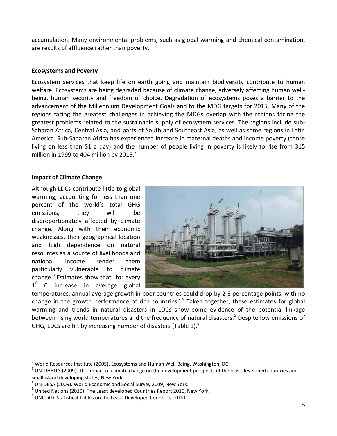accumulation. Many environmental problems, such as global warming and chemical contamination, are results of affluence rather than poverty.

## **Ecosystems and Poverty**

Ecosystem services that keep life on earth going and maintain biodiversity contribute to human welfare. Ecosystems are being degraded because of climate change, adversely affecting human wellbeing, human security and freedom of choice. Degradation of ecosystems poses a barrier to the advancement of the Millennium Development Goals and to the MDG targets for 2015. Many of the regions facing the greatest challenges in achieving the MDGs overlap with the regions facing the greatest problems related to the sustainable supply of ecosystem services. The regions include sub‐ Saharan Africa, Central Asia, and parts of South and Southeast Asia, as well as some regions in Latin America. Sub‐Saharan Africa has experienced increase in maternal deaths and income poverty (those living on less than \$1 a day) and the number of people living in poverty is likely to rise from 315 million in 1999 to 404 million by 2015. $^2$ 

## **Impact of Climate Change**

 $\overline{a}$ 

Although LDCs contribute little to global warming, accounting for less than one percent of the world's total GHG emissions, they will be disproportionately affected by climate change. Along with their economic weaknesses, their geographical location and high dependence on natural resources as a source of livelihoods and national income render them particularly vulnerable to climate change. $3$  Estimates show that "for every  $1<sup>0</sup>$  C increase in average global



temperatures, annual average growth in poor countries could drop by 2‐3 percentage points, with no change in the growth performance of rich countries".<sup>4</sup> Taken together, these estimates for global warming and trends in natural disasters in LDCs show some evidence of the potential linkage between rising world temperatures and the frequency of natural disasters.<sup>5</sup> Despite low emissions of GHG, LDCs are hit by increasing number of disasters (Table 1).<sup>6</sup>

<sup>&</sup>lt;sup>2</sup> World Resources Institute (2005). Ecosystems and Human Well-Being, Washington, DC.<br><sup>3</sup> UN-OHRLLS (2009). The impact of climate change on the development prospects of the least developed countries and

small island developing states, New York.<br><sup>4</sup> UN-DESA (2009). World Economic and Social Survey 2009, New York.<br><sup>5</sup> United Nations (2010). The Least developed Countries Report 2010, New York.<br><sup>6</sup> UNCTAD. Statistical Tables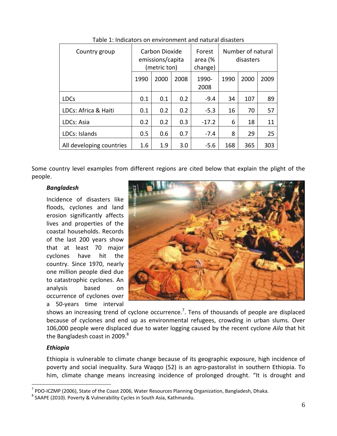| Country group            | Carbon Dioxide<br>emissions/capita<br>(metric ton) |      | Forest<br>area (%<br>change) | Number of natural<br>disasters |      |      |      |
|--------------------------|----------------------------------------------------|------|------------------------------|--------------------------------|------|------|------|
|                          | 1990                                               | 2000 | 2008                         | 1990-<br>2008                  | 1990 | 2000 | 2009 |
| <b>LDCs</b>              | 0.1                                                | 0.1  | 0.2                          | $-9.4$                         | 34   | 107  | 89   |
| LDCs: Africa & Haiti     | 0.1                                                | 0.2  | 0.2                          | $-5.3$                         | 16   | 70   | 57   |
| LDCs: Asia               | 0.2                                                | 0.2  | 0.3                          | $-17.2$                        | 6    | 18   | 11   |
| LDCs: Islands            | 0.5                                                | 0.6  | 0.7                          | $-7.4$                         | 8    | 29   | 25   |
| All developing countries | 1.6                                                | 1.9  | 3.0                          | $-5.6$                         | 168  | 365  | 303  |

Table 1: Indicators on environment and natural disasters

Some country level examples from different regions are cited below that explain the plight of the people.

### *Bangladesh*

Incidence of disasters like floods, cyclones and land erosion significantly affects lives and properties of the coastal households. Records of the last 200 years show that at least 70 major cyclones have hit the country. Since 1970, nearly one million people died due to catastrophic cyclones. An analysis based on occurrence of cyclones over a 50‐years time interval



shows an increasing trend of cyclone occurrence.<sup>7</sup>. Tens of thousands of people are displaced because of cyclones and end up as environmental refugees, crowding in urban slums. Over 106,000 people were displaced due to water logging caused by the recent cyclone *Aila* that hit the Bangladesh coast in 2009. $^8$ 

#### *Ethiopia*

 $\overline{a}$ 

Ethiopia is vulnerable to climate change because of its geographic exposure, high incidence of poverty and social inequality. Sura Waqqo (52) is an agro‐pastoralist in southern Ethiopia. To him, climate change means increasing incidence of prolonged drought. "It is drought and

<sup>&</sup>lt;sup>7</sup> PDO-ICZMP (2006), State of the Coast 2006, Water Resources Planning Organization, Bangladesh, Dhaka. <sup>8</sup> SAAPE (2010). Poverty & Vulnerability Cycles in South Asia, Kathmandu.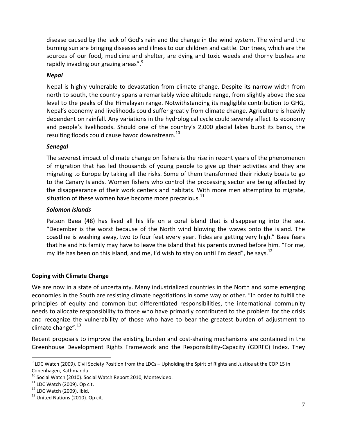disease caused by the lack of God's rain and the change in the wind system. The wind and the burning sun are bringing diseases and illness to our children and cattle. Our trees, which are the sources of our food, medicine and shelter, are dying and toxic weeds and thorny bushes are rapidly invading our grazing areas".<sup>9</sup>

# *Nepal*

Nepal is highly vulnerable to devastation from climate change. Despite its narrow width from north to south, the country spans a remarkably wide altitude range, from slightly above the sea level to the peaks of the Himalayan range. Notwithstanding its negligible contribution to GHG, Nepal's economy and livelihoods could suffer greatly from climate change. Agriculture is heavily dependent on rainfall. Any variations in the hydrological cycle could severely affect its economy and people's livelihoods. Should one of the country's 2,000 glacial lakes burst its banks, the resulting floods could cause havoc downstream.<sup>10</sup>

# *Senegal*

The severest impact of climate change on fishers is the rise in recent years of the phenomenon of migration that has led thousands of young people to give up their activities and they are migrating to Europe by taking all the risks. Some of them transformed their rickety boats to go to the Canary Islands. Women fishers who control the processing sector are being affected by the disappearance of their work centers and habitats. With more men attempting to migrate, situation of these women have become more precarious. $^{11}$ 

# *Solomon Islands*

Patson Baea (48) has lived all his life on a coral island that is disappearing into the sea. "December is the worst because of the North wind blowing the waves onto the island. The coastline is washing away, two to four feet every year. Tides are getting very high." Baea fears that he and his family may have to leave the island that his parents owned before him. "For me, my life has been on this island, and me, I'd wish to stay on until I'm dead", he says.<sup>12</sup>

# **Coping with Climate Change**

We are now in a state of uncertainty. Many industrialized countries in the North and some emerging economies in the South are resisting climate negotiations in some way or other. "In order to fulfill the principles of equity and common but differentiated responsibilities, the international community needs to allocate responsibility to those who have primarily contributed to the problem for the crisis and recognize the vulnerability of those who have to bear the greatest burden of adjustment to climate change". $^{13}$ 

Recent proposals to improve the existing burden and cost-sharing mechanisms are contained in the Greenhouse Development Rights Framework and the Responsibility‐Capacity (GDRFC) Index. They

 $\overline{a}$ 

 $9$  LDC Watch (2009). Civil Society Position from the LDCs – Upholding the Spirit of Rights and Justice at the COP 15 in

Copenhagen, Kathmandu.<br><sup>10</sup> Social Watch (2010). Social Watch Report 2010, Montevideo.<br><sup>11</sup> LDC Watch (2009). Op cit.<br><sup>12</sup> LDC Watch (2009). Ibid.<br><sup>13</sup> United Nations (2010). Op cit.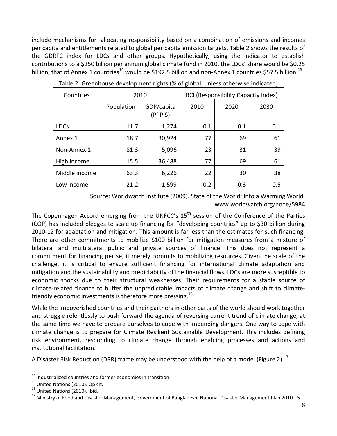include mechanisms for allocating responsibility based on a combination of emissions and incomes per capita and entitlements related to global per capita emission targets. Table 2 shows the results of the GDRFC index for LDCs and other groups. Hypothetically, using the indicator to establish contributions to a \$250 billion per annum global climate fund in 2010, the LDCs' share would be \$0.25 billion, that of Annex 1 countries<sup>14</sup> would be \$192.5 billion and non-Annex 1 countries \$57.5 billion.<sup>15</sup>

| Countries     | 2010       |                        | RCI (Responsibility Capacity Index) |      |      |  |  |
|---------------|------------|------------------------|-------------------------------------|------|------|--|--|
|               | Population | GDP/capita<br>(PPP \$) | 2010                                | 2020 | 2030 |  |  |
| <b>LDCs</b>   | 11.7       | 1,274                  | 0.1                                 | 0.1  | 0.1  |  |  |
| Annex 1       | 18.7       | 30,924                 | 77                                  | 69   | 61   |  |  |
| Non-Annex 1   | 81.3       | 5,096                  | 23                                  | 31   | 39   |  |  |
| High income   | 15.5       | 36,488                 | 77                                  | 69   | 61   |  |  |
| Middle income | 63.3       | 6,226                  | 22                                  | 30   | 38   |  |  |
| Low income    | 21.2       | 1,599                  | 0.2                                 | 0.3  | 0.5  |  |  |

Table 2: Greenhouse development rights (% of global, unless otherwise indicated)

Source: Worldwatch Institute (2009). State of the World: Into a Warming World, www.worldwatch.org/node/5984

The Copenhagen Accord emerging from the UNFCC's 15<sup>th</sup> session of the Conference of the Parties (COP) has included pledges to scale up financing for "developing countries" up to \$30 billion during 2010-12 for adaptation and mitigation. This amount is far less than the estimates for such financing. There are other commitments to mobilize \$100 billion for mitigation measures from a mixture of bilateral and multilateral public and private sources of finance. This does not represent a commitment for financing per se; it merely commits to mobilizing resources. Given the scale of the challenge, it is critical to ensure sufficient financing for international climate adaptation and mitigation and the sustainability and predictability of the financial flows. LDCs are more susceptible to economic shocks due to their structural weaknesses. Their requirements for a stable source of climate‐related finance to buffer the unpredictable impacts of climate change and shift to climate‐ friendly economic investments is therefore more pressing.<sup>16</sup>

While the impoverished countries and their partners in other parts of the world should work together and struggle relentlessly to push forward the agenda of reversing current trend of climate change, at the same time we have to prepare ourselves to cope with impending dangers. One way to cope with climate change is to prepare for Climate Resilient Sustainable Development. This includes defining risk environment, responding to climate change through enabling processes and actions and institutional facilitation.

A Disaster Risk Reduction (DRR) frame may be understood with the help of a model (Figure 2).<sup>17</sup>

 $\overline{a}$ 

<sup>&</sup>lt;sup>14</sup> Industrialized countries and former economies in transition.<br><sup>15</sup> United Nations (2010). Op cit.<br><sup>16</sup> United Nations (2010). Ibid.<br><sup>17</sup> Ministry of Food and Disaster Management, Government of Bangladesh. National Dis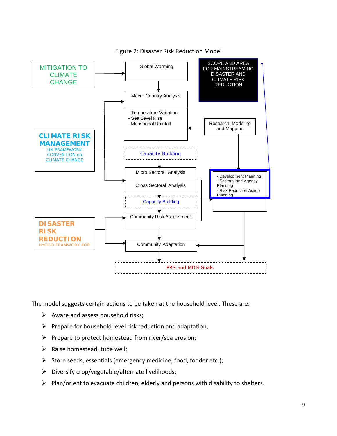

Figure 2: Disaster Risk Reduction Model

The model suggests certain actions to be taken at the household level. These are:

- $\triangleright$  Aware and assess household risks;
- $\triangleright$  Prepare for household level risk reduction and adaptation;
- $\triangleright$  Prepare to protect homestead from river/sea erosion;
- $\triangleright$  Raise homestead, tube well;
- $\triangleright$  Store seeds, essentials (emergency medicine, food, fodder etc.);
- $\triangleright$  Diversify crop/vegetable/alternate livelihoods;
- $\triangleright$  Plan/orient to evacuate children, elderly and persons with disability to shelters.